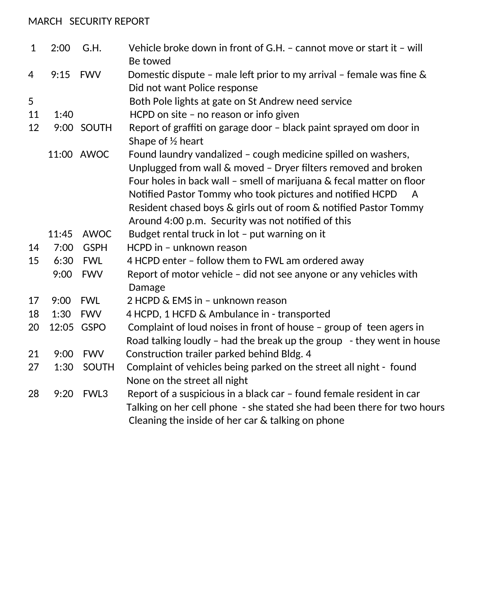## MARCH SECURITY REPORT

| $\mathbf{1}$ | 2:00  | G.H.         | Vehicle broke down in front of G.H. - cannot move or start it - will<br>Be towed                                                                                                                                                                                                                                                                                                                               |
|--------------|-------|--------------|----------------------------------------------------------------------------------------------------------------------------------------------------------------------------------------------------------------------------------------------------------------------------------------------------------------------------------------------------------------------------------------------------------------|
| 4            | 9:15  | <b>FWV</b>   | Domestic dispute - male left prior to my arrival - female was fine $\&$                                                                                                                                                                                                                                                                                                                                        |
|              |       |              | Did not want Police response                                                                                                                                                                                                                                                                                                                                                                                   |
| 5            |       |              | Both Pole lights at gate on St Andrew need service                                                                                                                                                                                                                                                                                                                                                             |
| 11           | 1:40  |              | HCPD on site - no reason or info given                                                                                                                                                                                                                                                                                                                                                                         |
| 12           |       | 9:00 SOUTH   | Report of graffiti on garage door - black paint sprayed om door in<br>Shape of $\frac{1}{2}$ heart                                                                                                                                                                                                                                                                                                             |
|              |       | 11:00 AWOC   | Found laundry vandalized - cough medicine spilled on washers,<br>Unplugged from wall & moved - Dryer filters removed and broken<br>Four holes in back wall - smell of marijuana & fecal matter on floor<br>Notified Pastor Tommy who took pictures and notified HCPD<br>$\mathsf{A}$<br>Resident chased boys & girls out of room & notified Pastor Tommy<br>Around 4:00 p.m. Security was not notified of this |
|              | 11:45 | <b>AWOC</b>  | Budget rental truck in lot - put warning on it                                                                                                                                                                                                                                                                                                                                                                 |
| 14           | 7:00  | <b>GSPH</b>  | HCPD in - unknown reason                                                                                                                                                                                                                                                                                                                                                                                       |
| 15           | 6:30  | <b>FWL</b>   | 4 HCPD enter - follow them to FWL am ordered away                                                                                                                                                                                                                                                                                                                                                              |
|              |       | 9:00 FWV     | Report of motor vehicle - did not see anyone or any vehicles with<br>Damage                                                                                                                                                                                                                                                                                                                                    |
| 17           | 9:00  | <b>FWL</b>   | 2 HCPD & EMS in - unknown reason                                                                                                                                                                                                                                                                                                                                                                               |
| 18           | 1:30  | <b>FWV</b>   | 4 HCPD, 1 HCFD & Ambulance in - transported                                                                                                                                                                                                                                                                                                                                                                    |
| 20           |       | 12:05 GSPO   | Complaint of loud noises in front of house - group of teen agers in                                                                                                                                                                                                                                                                                                                                            |
|              |       |              | Road talking loudly - had the break up the group $-$ they went in house                                                                                                                                                                                                                                                                                                                                        |
| 21           | 9:00  | <b>FWV</b>   | Construction trailer parked behind Bldg. 4                                                                                                                                                                                                                                                                                                                                                                     |
| 27           | 1:30  | <b>SOUTH</b> | Complaint of vehicles being parked on the street all night - found<br>None on the street all night                                                                                                                                                                                                                                                                                                             |
| 28           | 9:20  | FWL3         | Report of a suspicious in a black car - found female resident in car<br>Talking on her cell phone - she stated she had been there for two hours<br>Cleaning the inside of her car & talking on phone                                                                                                                                                                                                           |